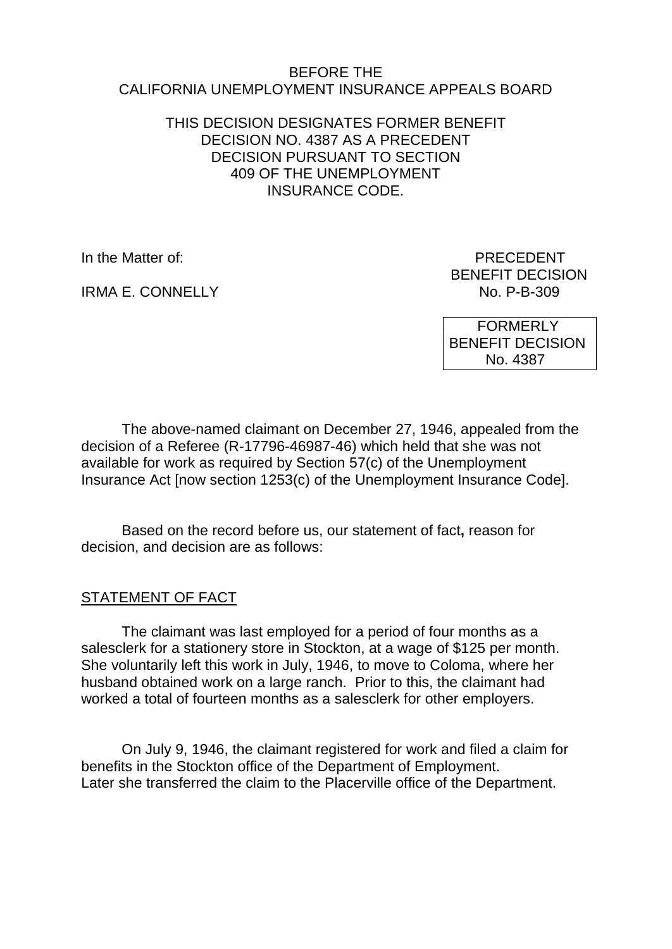#### BEFORE THE CALIFORNIA UNEMPLOYMENT INSURANCE APPEALS BOARD

### THIS DECISION DESIGNATES FORMER BENEFIT DECISION NO. 4387 AS A PRECEDENT DECISION PURSUANT TO SECTION 409 OF THE UNEMPLOYMENT INSURANCE CODE.

IRMA F. CONNELLY

In the Matter of: **PRECEDENT** BENEFIT DECISION<br>No. P-B-309

> FORMERLY BENEFIT DECISION No. 4387

The above-named claimant on December 27, 1946, appealed from the decision of a Referee (R-17796-46987-46) which held that she was not available for work as required by Section 57(c) of the Unemployment Insurance Act [now section 1253(c) of the Unemployment Insurance Code].

Based on the record before us, our statement of fact**,** reason for decision, and decision are as follows:

## STATEMENT OF FACT

The claimant was last employed for a period of four months as a salesclerk for a stationery store in Stockton, at a wage of \$125 per month. She voluntarily left this work in July, 1946, to move to Coloma, where her husband obtained work on a large ranch. Prior to this, the claimant had worked a total of fourteen months as a salesclerk for other employers.

On July 9, 1946, the claimant registered for work and filed a claim for benefits in the Stockton office of the Department of Employment. Later she transferred the claim to the Placerville office of the Department.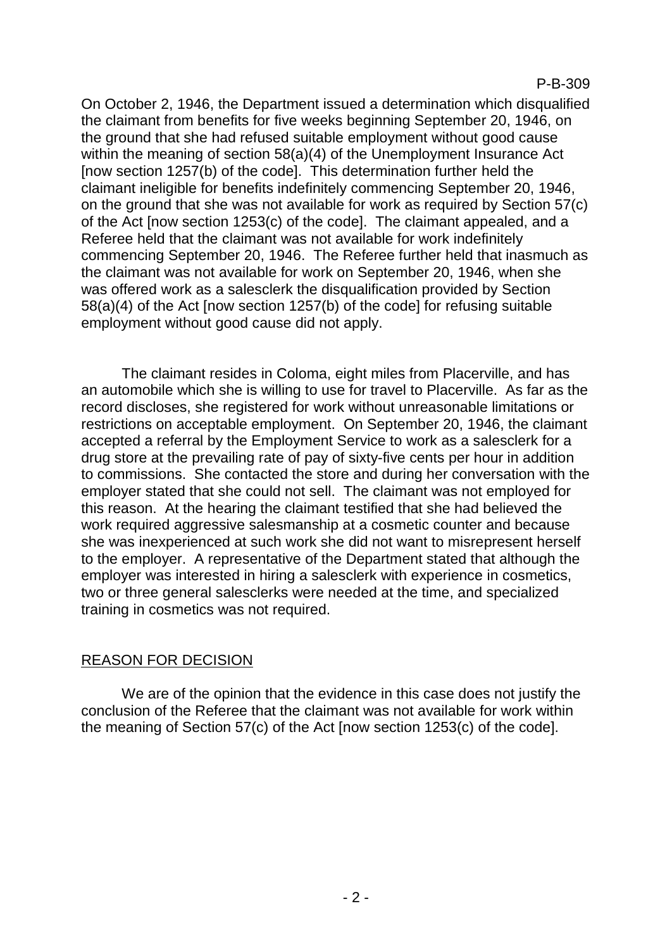On October 2, 1946, the Department issued a determination which disqualified the claimant from benefits for five weeks beginning September 20, 1946, on the ground that she had refused suitable employment without good cause within the meaning of section 58(a)(4) of the Unemployment Insurance Act [now section 1257(b) of the code]. This determination further held the claimant ineligible for benefits indefinitely commencing September 20, 1946, on the ground that she was not available for work as required by Section 57(c) of the Act [now section 1253(c) of the code]. The claimant appealed, and a Referee held that the claimant was not available for work indefinitely commencing September 20, 1946. The Referee further held that inasmuch as the claimant was not available for work on September 20, 1946, when she was offered work as a salesclerk the disqualification provided by Section 58(a)(4) of the Act [now section 1257(b) of the code] for refusing suitable employment without good cause did not apply.

The claimant resides in Coloma, eight miles from Placerville, and has an automobile which she is willing to use for travel to Placerville. As far as the record discloses, she registered for work without unreasonable limitations or restrictions on acceptable employment. On September 20, 1946, the claimant accepted a referral by the Employment Service to work as a salesclerk for a drug store at the prevailing rate of pay of sixty-five cents per hour in addition to commissions. She contacted the store and during her conversation with the employer stated that she could not sell. The claimant was not employed for this reason. At the hearing the claimant testified that she had believed the work required aggressive salesmanship at a cosmetic counter and because she was inexperienced at such work she did not want to misrepresent herself to the employer. A representative of the Department stated that although the employer was interested in hiring a salesclerk with experience in cosmetics, two or three general salesclerks were needed at the time, and specialized training in cosmetics was not required.

### REASON FOR DECISION

We are of the opinion that the evidence in this case does not justify the conclusion of the Referee that the claimant was not available for work within the meaning of Section 57(c) of the Act [now section 1253(c) of the code].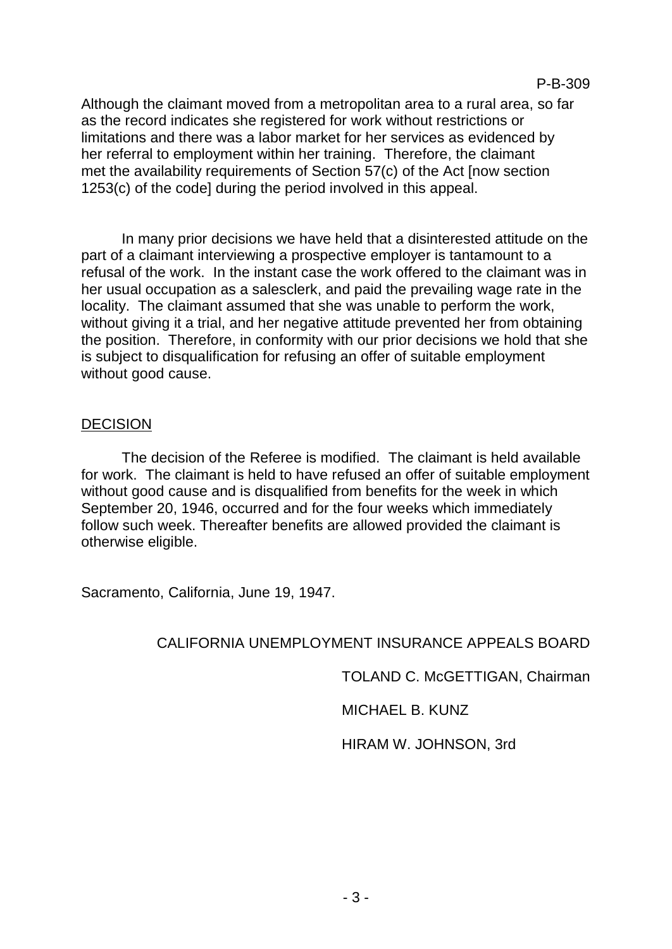Although the claimant moved from a metropolitan area to a rural area, so far as the record indicates she registered for work without restrictions or limitations and there was a labor market for her services as evidenced by her referral to employment within her training. Therefore, the claimant met the availability requirements of Section 57(c) of the Act [now section 1253(c) of the code] during the period involved in this appeal.

In many prior decisions we have held that a disinterested attitude on the part of a claimant interviewing a prospective employer is tantamount to a refusal of the work. In the instant case the work offered to the claimant was in her usual occupation as a salesclerk, and paid the prevailing wage rate in the locality. The claimant assumed that she was unable to perform the work, without giving it a trial, and her negative attitude prevented her from obtaining the position. Therefore, in conformity with our prior decisions we hold that she is subject to disqualification for refusing an offer of suitable employment without good cause.

### DECISION

The decision of the Referee is modified. The claimant is held available for work. The claimant is held to have refused an offer of suitable employment without good cause and is disqualified from benefits for the week in which September 20, 1946, occurred and for the four weeks which immediately follow such week. Thereafter benefits are allowed provided the claimant is otherwise eligible.

Sacramento, California, June 19, 1947.

### CALIFORNIA UNEMPLOYMENT INSURANCE APPEALS BOARD

TOLAND C. McGETTIGAN, Chairman

MICHAEL B. KUNZ

HIRAM W. JOHNSON, 3rd